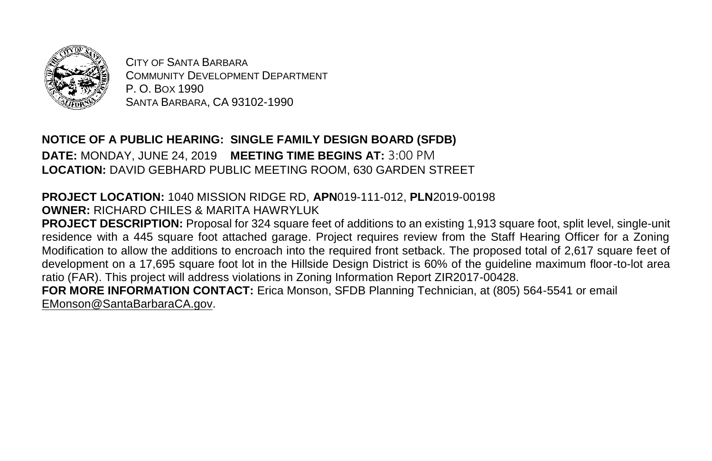

CITY OF SANTA BARBARA COMMUNITY DEVELOPMENT DEPARTMENT P. O. BOX 1990 SANTA BARBARA, CA 93102-1990

**NOTICE OF A PUBLIC HEARING: SINGLE FAMILY DESIGN BOARD (SFDB) DATE:** MONDAY, JUNE 24, 2019 **MEETING TIME BEGINS AT:** 3:00 PM **LOCATION:** DAVID GEBHARD PUBLIC MEETING ROOM, 630 GARDEN STREET

## **PROJECT LOCATION:** 1040 MISSION RIDGE RD, **APN**019-111-012, **PLN**2019-00198 **OWNER:** RICHARD CHILES & MARITA HAWRYLUK

**PROJECT DESCRIPTION:** Proposal for 324 square feet of additions to an existing 1,913 square foot, split level, single-unit residence with a 445 square foot attached garage. Project requires review from the Staff Hearing Officer for a Zoning Modification to allow the additions to encroach into the required front setback. The proposed total of 2,617 square feet of development on a 17,695 square foot lot in the Hillside Design District is 60% of the guideline maximum floor-to-lot area ratio (FAR). This project will address violations in Zoning Information Report ZIR2017-00428. **FOR MORE INFORMATION CONTACT:** Erica Monson, SFDB Planning Technician, at (805) 564-5541 or email

[EMonson@SantaBarbaraCA.gov.](mailto:EMonson@SantaBarbaraCA.gov)